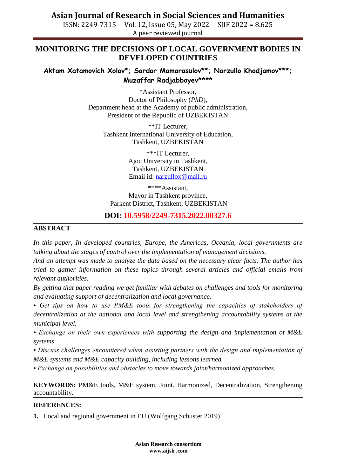**Asian Journal of Research in Social Sciences and Humanities**

ISSN: 2249-7315 Vol. 12, Issue 05, May 2022 SJIF 2022 = 8.625 A peer reviewed journal

# **MONITORING THE DECISIONS OF LOCAL GOVERNMENT BODIES IN DEVELOPED COUNTRIES**

### **Aktam Xatamovich Xolov\*; Sardor Mamarasulov\*\*; Narzullo Khodjamov\*\*\*; Muzaffar Radjabboyev\*\*\*\***

\*Assistant Professor, Doctor of Philosophy (*PhD*), Department head at the Academy of public administration, President of the Republic of UZBEKISTAN

\*\*IT Lecturer, Tashkent International University of Education, Tashkent, UZBEKISTAN

> \*\*\*IT Lecturer, Ajou University in Tashkent, Tashkent, UZBEKISTAN Email id: [narzullox@mail.ru](mailto:narzullox@mail.ru)

\*\*\*\*Assistant, Mayor in Tashkent province, Parkent District, Tashkent, UZBEKISTAN

# **DOI: 10.5958/2249-7315.2022.00327.6**

#### **ABSTRACT**

*In this paper, In developed countries, Europe, the Americas, Oceania, local governments are talking about the stages of control over the implementation of management decisions.*

*And an attempt was made to analyze the data based on the necessary clear facts. The author has tried to gather information on these topics through several articles and official emails from relevant authorities.*

*By getting that paper reading we get familiar with debates on challenges and tools for monitoring and evaluating support of decentralization and local governance.* 

• Get tips on how to use PM&E tools for strengthening the capacities of stakeholders of *decentralization at the national and local level and strengthening accountability systems at the municipal level.* 

*• Exchange on their own experiences with supporting the design and implementation of M&E systems* 

*• Discuss challenges encountered when assisting partners with the design and implementation of M&E systems and M&E capacity building, including lessons learned.* 

*• Exchange on possibilities and obstacles to move towards joint/harmonized approaches.*

**KEYWORDS:** PM&E tools, M&E system, Joint. Harmonized, Decentralization, Strengthening accountability.

#### **REFERENCES:**

**1.** Local and regional government in EU (Wolfgang Schuster 2019)